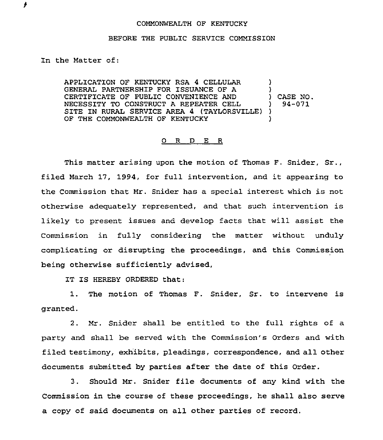## COMMONWEALTH OF KENTUCKY

## BEFORE THE PUBLIC SERVICE COMMISSION

In the Matter of:

۶

APPLICATION OF KENTUCKY RSA 4 CELLULAR GENERAL PARTNERSHIP FOR ISSUANCE OF A CERTIFICATE OF PUBLIC CONVENIENCE AND NECESSITY TO CONSTRUCT A REPEATER CELL SITE IN RURAL SERVICE AREA 4 (TAYLORSVILLE)) OF THE COMMONWEALTH OF KENTUCKY ) ) ) CASE NO. ) 94-071 )

## 0 R D E R

This matter arising upon the motion of Thomas F. Snider, Sr., filed March 17, 1994, for full intervention, and it appearing to the Commission that Mr. Snider has a special interest which is not otherwise adequately represented, and that such intervention is likely to present issues and develop facts that will assist the Commission in fully considering the matter without unduly complicating or disrupting the proceedings, and this Commission being otherwise sufficiently advised,

IT IS HEREBY ORDERED that:

1. The motion of Thomas F. Snider, Sr. to intervene is granted.

2. Mr. Snider shall be entitled to the full rights of a party and shall be served with the Commission's Orders and with filed testimony, exhibits, pleadings, correspondence, and all other documents submitted by parties after the date of this Order.

3. Should Mr. Snider file documents of any kind with the Commission in the course of these proceedings, he shall also serve a copy of said documents on all other parties of record.